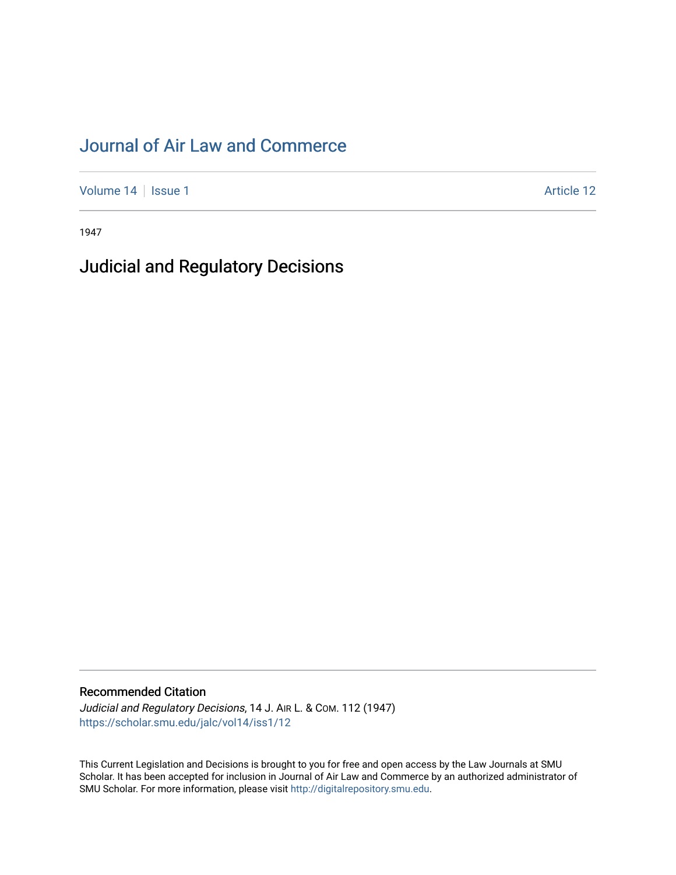# [Journal of Air Law and Commerce](https://scholar.smu.edu/jalc)

[Volume 14](https://scholar.smu.edu/jalc/vol14) | [Issue 1](https://scholar.smu.edu/jalc/vol14/iss1) Article 12

1947

## Judicial and Regulatory Decisions

### Recommended Citation

Judicial and Regulatory Decisions, 14 J. AIR L. & COM. 112 (1947) [https://scholar.smu.edu/jalc/vol14/iss1/12](https://scholar.smu.edu/jalc/vol14/iss1/12?utm_source=scholar.smu.edu%2Fjalc%2Fvol14%2Fiss1%2F12&utm_medium=PDF&utm_campaign=PDFCoverPages)

This Current Legislation and Decisions is brought to you for free and open access by the Law Journals at SMU Scholar. It has been accepted for inclusion in Journal of Air Law and Commerce by an authorized administrator of SMU Scholar. For more information, please visit [http://digitalrepository.smu.edu](http://digitalrepository.smu.edu/).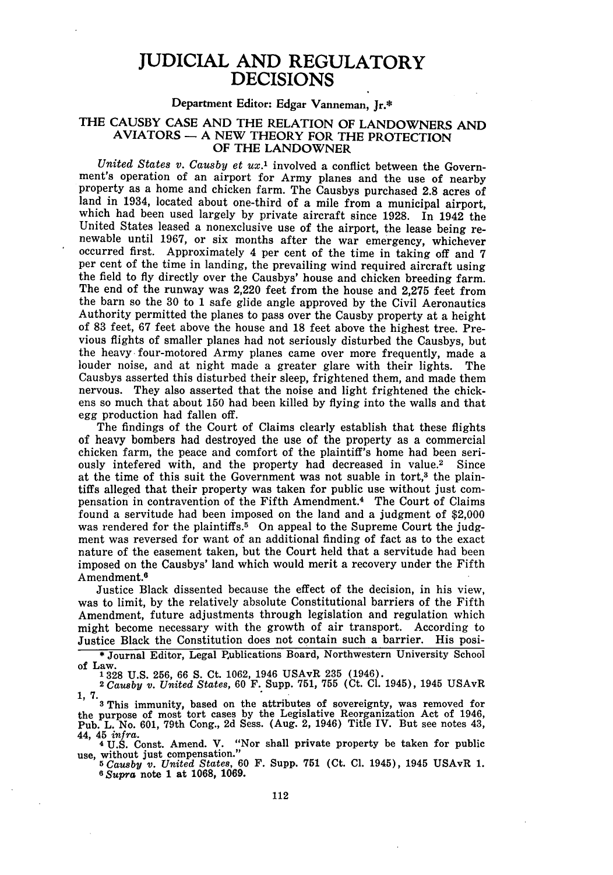### JUDICIAL **AND** REGULATORY DECISIONS

#### Department Editor: Edgar Vanneman, Jr.\*

#### THE CAUSBY CASE AND THE RELATION OF LANDOWNERS AND AVIATORS - A NEW THEORY FOR THE PROTECTION OF THE LANDOWNER

*United States v. Causby et ux.1* involved a conflict between the Government's operation of an airport for Army planes and the use of nearby property as a home and chicken farm. The Causbys purchased 2.8 acres of land in 1934, located about one-third of a mile from a municipal airport, which had been used largely by private aircraft since 1928. In 1942 the United States leased a nonexclusive use of the airport, the lease being renewable until 1967, or six months after the war emergency, whichever occurred first. Approximately 4 per cent of the time in taking off and 7 per cent of the time in landing, the prevailing wind required aircraft using the field to fly directly over the Causbys' house and chicken breeding farm. The end of the runway was 2,220 feet from the house and 2,275 feet from the barn so the 30 to 1 safe glide angle approved by the Civil Aeronautics Authority permitted the planes to pass over the Causby property at a height of 83 feet, 67 feet above the house and 18 feet above the highest tree. Previous flights of smaller planes had not seriously disturbed the Causbys, but the heavy four-motored Army planes came over more frequently, made a louder noise, and at night made a greater glare with their lights. The Causbys asserted this disturbed their sleep, frightened them, and made them nervous. They also asserted that the noise and light frightened the chickens so much that about 150 had been killed by flying into the walls and that egg production had fallen off.

The findings of the Court of Claims clearly establish that these flights of heavy bombers had destroyed the use of the property as a commercial chicken farm, the peace and comfort of the plaintiff's home had been seriously intefered with, and the property had decreased in value.2 Since at the time of this suit the Government was not suable in tort, $^3$  the plaintiffs alleged that their property was taken for public use without just compensation in contravention of the Fifth Amendment. 4 The Court of Claims found a servitude had been imposed on the land and a judgment of \$2,000 was rendered for the plaintiffs.<sup>5</sup> On appeal to the Supreme Court the judgment was reversed for want of an additional finding of fact as to the exact nature of the easement taken, but the Court held that a servitude had been imposed on the Causbys' land which would merit a recovery under the Fifth Amendment.<sup>6</sup>

Justice Black dissented because the effect of the decision, in his view, was to limit, by the relatively absolute Constitutional barriers of the Fifth Amendment, future adjustments through legislation and regulation which might become necessary with the growth of air transport. According to Justice Black the Constitution does not contain such a barrier. His posi-

**\*** Journal Editor, Legal Publications Board, Northwestern University School of Law.<br>1328 U.S. 256, 66 S. Ct. 1062, 1946 USAvR 235 (1946).

1328 U.S. 256, 66 S. Ct. 1062, 1946 USAvR 235 (1946). **<sup>2</sup>***Causby v. United States,* 60 F. Supp. 751, 755 (Ct. **Cl.** 1945), 1945 USAvR

1, 7.<br><sup>3</sup> This immunity, based on the attributes of sovereignty, was removed for the purpose of most tort cases by the Legislative Reorganization Act of 1946, Pub. L. No. 601, 79th Cong., 2d Sess. (Aug. 2, 1946) Title IV. But see notes 43, 44, 45 *infra.*

<sup>4</sup>U.S. Const. Amend. V. "Nor shall private property be taken for public use, without just compensation."

**<sup>5</sup>***Causby v. United States,* 60 F. Supp. 751 (Ct. **Cl.** 1945), 1945 USAvR 1. *<sup>6</sup> Supra* note 1 at 1068, 1069.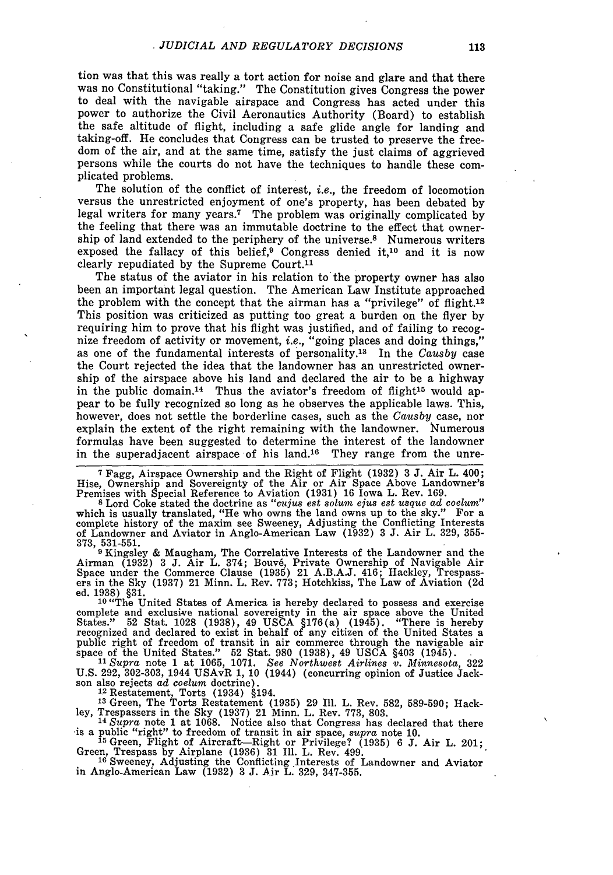tion was that this was really a tort action for noise and glare and that there was no Constitutional "taking." The Constitution gives Congress the power to deal with the navigable airspace and Congress has acted under this power to authorize the Civil Aeronautics Authority (Board) to establish the safe altitude of flight, including a safe glide angle for landing and taking-off. He concludes that Congress can be trusted to preserve the freedom of the air, and at the same time, satisfy the just claims of aggrieved persons while the courts do not have the techniques to handle these complicated problems.

The solution of the conflict of interest, *i.e.,* the freedom of locomotion versus the unrestricted enjoyment of one's property, has been debated by legal writers for many years.<sup>7</sup> The problem was originally complicated by the feeling that there was an immutable doctrine to the effect that ownership of land extended to the periphery of the universe.<sup>8</sup> Numerous writers exposed the fallacy of this belief,<sup>9</sup> Congress denied it,<sup>10</sup> and it is now clearly repudiated by the Supreme Court.<sup>11</sup>

The status of the aviator in his relation to the property owner has also been an important legal question. The American Law Institute approached the problem with the concept that the airman has a "privilege" of flight.<sup>12</sup> This position was criticized as putting too great a burden on the flyer by requiring him to prove that his flight was justified, and of failing to recognize freedom of activity or movement, *i.e.,* "going places and doing things," as one of the fundamental interests of personality. 13 In the *Causby* case the Court rejected the idea that the landowner has an unrestricted ownership of the airspace above his land and declared the air to be a highway in the public domain.<sup>14</sup> Thus the aviator's freedom of flight<sup>15</sup> would appear to be fully recognized so long as he observes the applicable laws. This, however, does not settle the borderline cases, such as the *Causby* case, nor explain the extent of the right remaining with the landowner. Numerous formulas have been suggested to determine the interest of the landowner in the superadjacent airspace of his land.16 They range from the unre-

**<sup>7</sup>**Fagg, Airspace Ownership and the Right of Flight (1932) **3 J.** Air L. 400; Hise, Ownership and Sovereignty of the Air or Air Space Above Landowner's Premises with Special Reference to Aviation (1931) 16 Iowa L. Rev. 169.

<sup>8</sup> Lord Coke stated the doctrine as *"cujus est solum ejus est usque ad coelum"*<br>which is usually translated, "He who owns the land owns up to the sky." For a complete history of the maxim see Sweeney, Adjusting the Conflicting Interests of Landowner and Aviator in Anglo-American Law (1932) 3 J. Air L. 329, 355-

373, 531-551. 9 Kingsley & Maugham, The Correlative Interests of the Landowner and the Airman (1932) 3 **J.** Air L. 374; Bouv6, Private Ownership of Navigable Air Space under the Commerce Clause (1935) 21 A.B.A.J. 416; Hackley, Trespass- ers in the Sky (1937) 21 Minn. L. Rev. 773; Hotchkiss, The Law of Aviation **(2d**

ed. 1938) §31. 10 "The United States of America is hereby declared to possess and exercise complete and exclusive national sovereignty in the air space above the United States." 52 Stat. 1028 (1938), 49 USCA §176(a) (1945). "There is hereby<br>recognized and declared to exist in behalf of any citizen of the United States a<br>public right of freedom of transit in air commerce through the naviga space of the United States." 52 Stat. 980 (1938), 49 USCA §403 (1945). *11Supra* note 1 at 1065, 1071. *See Northwest Airlines v. Minnesota,* **322**

U.S. 292, 302-303, 1944 USAvR 1, 10 (1944) (concurring opinion of Justice Jack-<br>son also rejects *ad coelum* doctrine). <sup>12</sup> Restatement, Torts (1934) §194.

<sup>13</sup> Green, The Torts Restatement (1935) 29 Ill. L. Rev. 582, 589-590; Hack-<br>ley, Trespassers in the Sky (1937) 21 Minn. L. Rev. 773, 803.<br><sup>14</sup> Supra note 1 at 1068. Notice also that Congress has declared that there

is a public "right" to freedom of transit in air space, supra note 10.<br>
<sup>15</sup> Green, Flight of Aircraft—Right or Privilege? (1935) 6 J. Air L. 201<br>
Green, Trespass by Airplane (1936) 31 Ill. L. Rev. 499.<br>
<sup>16</sup> Sweeney. Adj

in Anglo-American Law (1932) **3** J. Air L. 329, 347-355.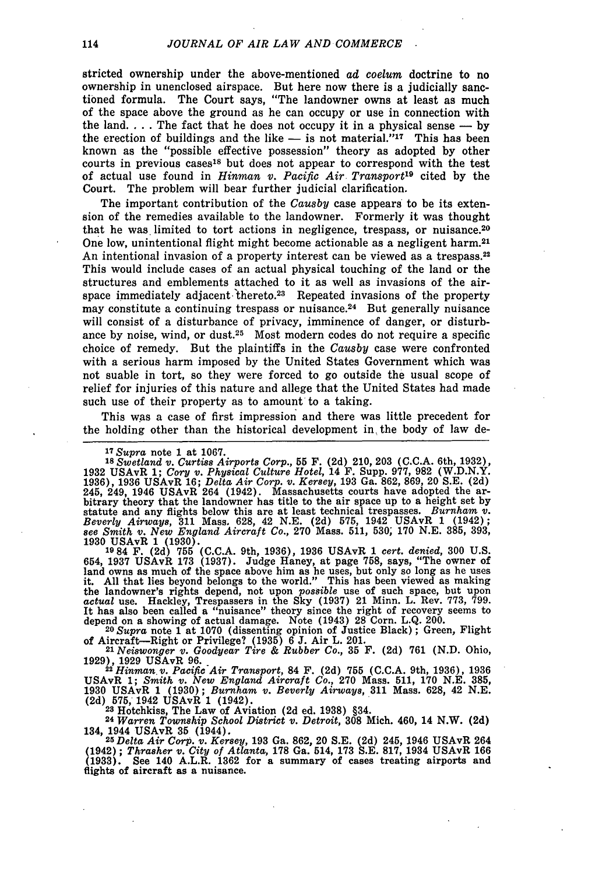stricted ownership under the above-mentioned *ad coelum* doctrine to no ownership in unenclosed airspace. But here now there is a judicially sanctioned formula. The Court says, "The landowner owns at least as much of the space above the ground as he can occupy or use in connection with the land.  $\ldots$  The fact that he does not occupy it in a physical sense  $\ldots$  by the erection of buildings and the like - is not material."<sup>17</sup> This has been known as the "possible effective possession" theory as adopted by other courts in previous cases<sup>18</sup> but does not appear to correspond with the test of actual use found in *Hinman v. Pacific Air Transport19* cited by the Court. The problem will bear further judicial clarification.

The important contribution of the *Causby* case appears to be its extension of the remedies available to the landowner. Formerly it was thought that he was limited to tort actions in negligence, trespass, or nuisance.<sup>20</sup> One low, unintentional flight might become actionable as a negligent harm.<sup>21</sup> An intentional invasion of a property interest can be viewed as a trespass.<sup>22</sup> This would include cases of an actual physical touching of the land or the structures and emblements attached to it as well as invasions of the airspace immediately adjacent thereto.<sup>23</sup> Repeated invasions of the property may constitute a continuing trespass or nuisance.<sup>24</sup> But generally nuisance will consist of a disturbance of privacy, imminence of danger, or disturbance by noise, wind, or dust.<sup>25</sup> Most modern codes do not require a specific choice of remedy. But the plaintiffs in the *Causby* case were confronted with a serious harm imposed by the United States Government which was not suable in tort, so they were forced to go outside the usual scope of relief for injuries of this nature and allege that the United States had made such use of their property as to amount to a taking.

This was a case of first impression and there was little precedent for the holding other than the historical development in the body of law de-

**<sup>17</sup>***Supra* note **1** at **1067. <sup>18</sup>***Swetland v. Curtiss Airports Corp.,* 55 F. **(2d)** 210, 203 (C.C.A. 6th, 1932), 1932 USAVR 1; Cory v. Physical Culture Hotel, 14 F. Supp. 977, 982 (W.D.N.Y.)<br>1936), 1936 USAvR 16; Delta Air Corp. v. Kersey, 193 Ga. 862, 869, 20 S.E. (2d)<br>245, 249, 1946 USAvR 264 (1942). Massachusetts courts have adopt bitrary theory that the landowner has title to the air space up to a height set by statute and any flights below this are at least technical trespasses. *Burnham v. Beverly Airways,* **311** Mass. 628, 42 N.E. (2d) 575, 1942 USAvR 1 (1942); *see Smith v. New England Aircraft Co.,* **270** Mass. **511, 530; 170 N.E. 385, 393,** 1930 USAvR 1 (1930). **<sup>1984</sup>**F. (2d) **755 (C.C.A.** 9th, 1936), 1936 USAvR 1 *cert. denied,* 300 U.S.

654, 1937 USAvR 173 (1937). Judge Haney, at page 758, says, "The owner of land owns as much of the space above him as he uses, but only so long as he uses it. All that lies beyond belongs to the world." This has been viewe the landowner's rights depend, not upon *possible* use of such space, but upon *actual* use. Hackley, Trespassers in the Sky (1937) 21 Minn. L. Rev. **773,** 799. It has also been called a "nuisance" theory since the right of recovery seems to depend on a showing of actual damage. Note (1943) 28 Corn. L.Q. 200. **<sup>20</sup>***Supra* note 1 at 1070 (dissenting opinion of Justice Black) ; Green, Flight

of Aircraft—Right or Privilege? (1935) 6 J. Air L. 201.<br>
<sup>21</sup> Neiswonger v. Goodyear Tire & Rubber Co., 35 F. (2d) 761 (N.D. Ohio<br>
1929), 1929 USAvR 96.<br>
<sup>22</sup> Hinman v. Pacific Air Transport 84 F. (2d) 755 (C.C.A. 9th. 19

1929), 1929 USAvR 96.<br>
<sup>22</sup> Hinman v. Pacific Air Transport, 84 F. (2d) 755 (C.C.A. 9th, 1936), 1936<br>
USAvR 1; *Smith v. New England Aircraft Co.*, 270 Mass. 511, 170 N.E. 385, 1930 USAvR 1 (1930); *Burnham v. Beverly Airways,* **311** Mass. 628, 42 N.E. (2d) **575,** 1942 USAvR 1 (1942). **<sup>23</sup>**Hotchkiss, The Law of Aviation (2d ed. 1938) §34.

**<sup>24</sup>***Warren Township School District v. Detroit,* **308** Mich. 460, 14 N.W. (2d) 134, 1944 USAvR **35** (1944). *<sup>25</sup>Delta Air Corp. v. Kersey,* 193 Ga. 862, 20 S.E. **(2d)** 245, 1946 USAvR 264

(1942); *Thrasher v. City of Atlanta,* **178** Ga. 514, **173** S.E. **817,** 1934 USAvR 166 **(1933).** See 140 A.L.R. 1362 for a summary of cases treating airports and flights of aircraft as a nuisance.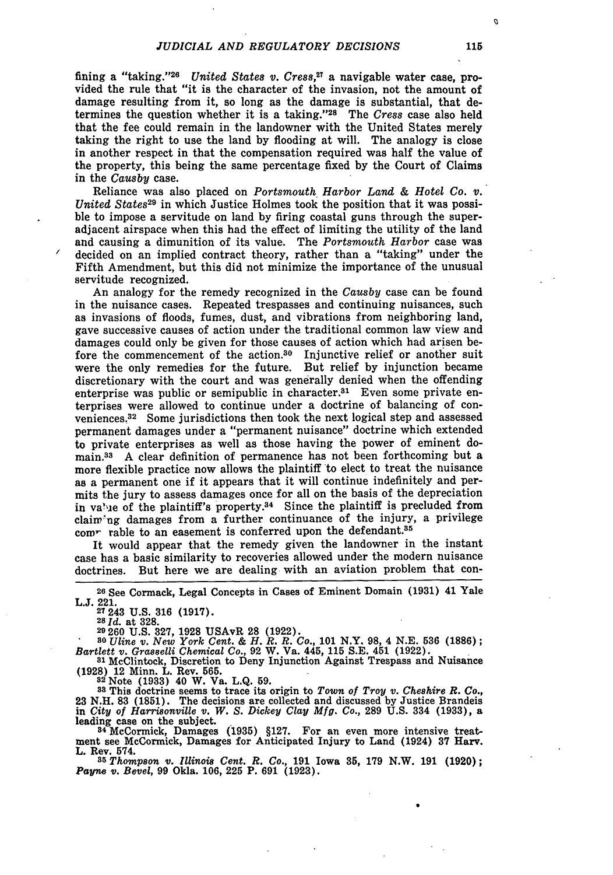fining a "taking."<sup>26</sup> United States v. Cress.<sup>27</sup> a navigable water case, provided the rule that "it is the character of the invasion, not the amount of damage resulting from it, so long as the damage is substantial, that determines the question whether it is a taking."<sup>28</sup> The *Cress* case also held that the fee could remain in the landowner with the United States merely taking the right to use the land by flooding at will. The analogy is close in another respect in that the compensation required was half the value of the property, this being the same percentage fixed by the Court of Claims in the *Causby* case.

Reliance was also placed on *Portsmouth Harbor Land & Hotel Co. v. United States29* in which Justice Holmes took the position that it was possible to impose a servitude on land by firing coastal guns through the superadjacent airspace when this had the effect of limiting the utility of the land and causing a dimunition of its value. The *Portsmouth Harbor* case was decided on an implied contract theory, rather than a "taking" under the Fifth Amendment, but this did not minimize the importance of the unusual servitude recognized.

An analogy for the remedy recognized in the *Causby* case can be found in the nuisance cases. Repeated trespasses and continuing nuisances, such as invasions of floods, fumes, dust, and vibrations from neighboring land, gave successive causes of action under the traditional common law view and damages could only be given for those causes of action which had arisen before the commencement of the action.30 Injunctive relief or another suit were the only remedies for the future. But relief by injunction became discretionary with the court and was generally denied when the offending enterprise was public or semipublic in character.<sup>31</sup> Even some private enterprises were allowed to continue under a doctrine of balancing of conveniences. 32 Some jurisdictions then took the next logical step and assessed permanent damages under a "permanent nuisance" doctrine which extended to private enterprises as well as those having the power of eminent domain.<sup>33</sup> A clear definition of permanence has not been forthcoming but a more flexible practice now allows the plaintiff to elect to treat the nuisance as a permanent one if it appears that it will continue indefinitely and permits the jury to assess damages once for all on the basis of the depreciation in va'ue of the plaintiff's property.<sup>34</sup> Since the plaintiff is precluded from claiw'ng damages from a further continuance of the injury, a privilege com- rable to an easement is conferred upon the defendant.<sup>35</sup>

It would appear that the remedy given the landowner in the instant case has a basic similarity to recoveries allowed under the modern nuisance doctrines. But here we are dealing with an aviation problem that con-

**<sup>26</sup>**See Cormack, Legal Concepts in Cases of Eminent Domain **(1931)** 41 Yale **L.J.** 221.<br>
<sup>27</sup> 243 U.S. 316 (1917)<br>
<sup>28</sup> *Id.* at 328.

**29 260 U.S. 327, 1928** USAvR **28 (1922). <sup>80</sup>***Uline v. New York Cent. & H. R. R. Co.,* **101** N.Y. **98,** 4 **N.E. 536 (1886);** *Bartlett v. Grasselli Chemical Co.,* 92 W. Va. 445, **115** S.E. 451 (1922).

**<sup>81</sup>**McClintock, Discretion to Deny Injunction Against Trespass and Nuisance **(1928)** 12 Minn. L. Rev. **565. <sup>82</sup>**Note **(1933)** 40 W. Va. L.Q. 59.

**<sup>83</sup>**This doctrine seems to trace its origin to *Town of Troy v. Cheshire R. Co.,* 23 N.H. 83 (1851). The decisions are collected and discussed by Justice Brandeis in City of Harrisonville v. W. S. Dickey Clay Mfg. Co., 289 U.S. 334 (1933), a leading case on the subject.<br><sup>34</sup> McCormick, Damages (1935) §127. For an even more intensive treat-

ment see McCormick, Damages for Anticipated Injury to Land (1924) **37 Harv.** L. Rev. 574.

*385 Thompson v. Illinois Cent. R. Co.,* 191 Iowa **35, 179** N.W. 191 **(1920);** *Payne v. Bevel,* 99 Okla. 106, **225** P. 691 **(1923).**

115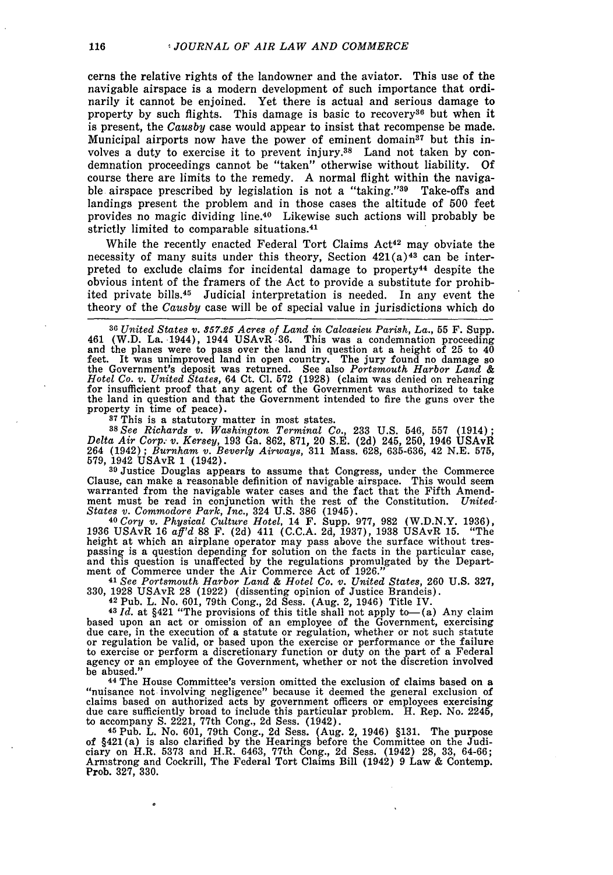cerns the relative rights of the landowner and the aviator. This use of the navigable airspace is a modern development of such importance that ordinarily it cannot be enjoined. Yet there is actual and serious damage to property by such flights. This damage is basic to recovery<sup>36</sup> but when it is present, the *Causby* case would appear to insist that recompense be made. Municipal airports now have the power of eminent domain<sup>37</sup> but this involves a duty to exercise it to prevent injury.38 Land not taken **by** condemnation proceedings cannot be "taken" otherwise without liability. **Of** course there are limits to the remedy. **A** normal flight within the navigable airspace prescribed by legislation is not a "taking."<sup>39</sup> Take-offs and landings present the problem and in those cases the altitude of **500** feet provides no magic dividing line.40 Likewise such actions will probably be strictly limited to comparable situations.<sup>41</sup>

While the recently enacted Federal Tort Claims Act<sup>42</sup> may obviate the necessity of many suits under this theory, Section  $421(a)^{43}$  can be interpreted to exclude claims for incidental damage to property<sup>44</sup> despite the obvious intent of the framers of the Act to provide a substitute for prohibited private bills.<sup>45</sup> Judicial interpretation is needed. In any event the theory of the *Causby* case will be of special value in jurisdictions which do

**<sup>36</sup>***United States v. 357.25 Acres of Land in Calcasieu Parish, La.,* **55** F. Supp. 461 (W.D. La. 1944), 1944 USAvR 36. This was a condemnation proceeding and the planes were to pass over the land in question at a height of 25 to  $4\overline{0}$ feet. It was unimproved land in open country. The jury found no damage so<br>the Government's deposit was returned. See also *Portsmouth Harbor Land &*<br>Hotel Co. v. United States, 64 Ct. Cl. 572 (1928) (claim was denied on re for insufficient proof that any agent of the Government was authorized to take the land in question and that the Government intended to fire the guns over the property in time of peace).

<sup>37</sup>This is a statutory matter in most states.

*38See Richards v. Washington Terminal Co.,* **233** U.S. 546, 557 (1914); *Delta Air Corp. v. Kersey,* 193 Ga. 862, 871, 20 S.E. **(2d)** 245, 250, 1946 USAvR 264 (1942); *Burnham v. Beverly Airways,* **311** Mass. 628, 635-636, 42 N.E. 575, 579, 1942 USAvR 1 (1942). **<sup>39</sup>**Justice Douglas appears to assume that Congress, under the Commerce

Clause, can make a reasonable definition of navigable airspace. This would seem warranted from the navigable water cases and the fact that the Fifth Amendment must be read in conjunction with the rest of the Constitution. *United. States v. Commodore Park, Inc.,* 324 **U.S. 386** (1945). **<sup>40</sup>***Cory v. Physical Culture Hotel,* 14 F. Supp. 977, 982 (W.D.N.Y. 1936),

1936 USAvR 16 *aff'd* **88** F. (2d) 411 (C.C.A. 2d, 1937), 1938 USAvR 15. "The height at which an airplane operator may pass above the surface without trespassing is a question depending for solution on the facts in the particular case, and this question is unaffected by the regulations promulgated by the Department of Commerce under the Air Commerce Act of 1926." **<sup>41</sup>***See Portsmouth Harbor Land & Hotel Co. v. United States,* **260 U.S. 327,**

330, 1928 USAvR 28 (1922) (dissenting opinion of Justice Brandeis). 42 Pub. L. No. 601, 79th Cong., 2d Sess. (Aug. 2, 1946) Title IV. **<sup>43</sup>***Id.* at §421 "The provisions of this title shall not apply to-(a) Any claim

based upon an act or omission of an employee of the Government, exercising due care, in the execution of a statute or regulation, whether or not such statute due care, in the execution of a statute or regulation, whether or not such statute<br>or regulation be valid, or based upon the exercise or performance or the failure<br>to exercise or perform a discretionary function or duty on agency or an employee of the Government, whether or not the discretion involved be abused.

**<sup>44</sup>**The House Committee's version omitted the exclusion of claims based on a "nuisance not involving negligence" because it deemed the general exclusion of claims based on authorized acts by government officers or employees exercising due care sufficiently broad to include this particular problem. H. Rep. No. 2245, to accompany **S.** 2221, 77th Cong., 2d Sess. (1942).

**<sup>45</sup>**Pub. L. No. 601, 79th Cong., 2d Sess. (Aug. 2, 1946) §131. The purpose of §421(a) is also clarified by the Hearings before the Committee on the Judi-<br>ciary on H.R. 5373 and H.R. 6463, 77th Cong., 2d Sess. (1942) 28, 33, 64-66;<br>Armstrong and Cockrill, The Federal Tort Claims Bill (1942) 9 Law Prob. **327, 330.**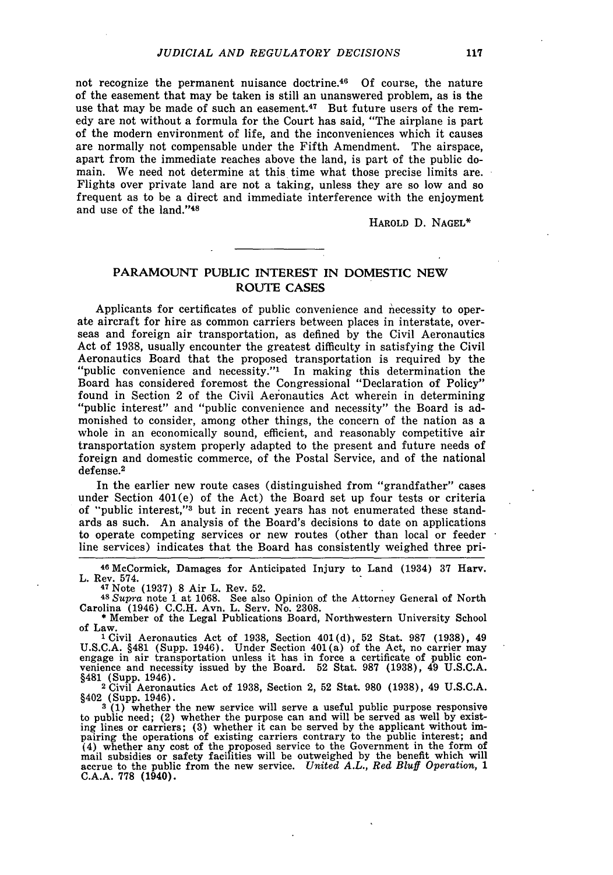not recognize the permanent nuisance doctrine. $4^6$  Of course, the nature of the easement that may be taken is still an unanswered problem, as is the use that may be made of such an easement.<sup>47</sup> But future users of the remedy are not without a formula for the Court has said, "The airplane is part of the modern environment of life, and the inconveniences which it causes are normally not compensable under the Fifth Amendment. The airspace, apart from the immediate reaches above the land, is part of the public domain. We need not determine at this time what those precise limits are. Flights over private land are not a taking, unless they are so low and so frequent as to be a direct and immediate interference with the enjoyment and use of the land."<sup>48</sup>

HAROLD D. NAGEL\*

#### **PARAMOUNT PUBLIC INTEREST IN DOMESTIC NEW ROUTE CASES**

Applicants for certificates of public convenience and necessity to operate aircraft for hire as common carriers between places in interstate, overseas and foreign air transportation, as defined **by** the Civil Aeronautics Act of **1938,** usually encounter the greatest difficulty in satisfying the Civil Aeronautics Board that the proposed transportation is required **by** the "public convenience and necessity."' In making this determination the Board has considered foremost the Congressional "Declaration of Policy" found in Section 2 of the Civil Aeronautics Act wherein in determining "public interest" and "public convenience and necessity" the Board is admonished to consider, among other things, the concern of the nation as a whole in an economically sound, efficient, and reasonably competitive air transportation system properly adapted to the present and future needs of foreign and domestic commerce, of the Postal Service, and of the national defense.<sup>2</sup>

In the earlier new route cases (distinguished from "grandfather" cases under Section 401(e) of the Act) the Board set up four tests or criteria of "public interest,"3 but in recent years has not enumerated these standards as such. An analysis of the Board's decisions to date on applications to operate competing services or new routes (other than local or feeder line services) indicates that the Board has consistently weighed three pri-

**<sup>46</sup>**McCormick, Damages for Anticipated Injury to Land (1934) 37 Harv. L. Rev. 574. **<sup>47</sup>**Note (1937) 8 Air L. Rev. **52. <sup>48</sup>***Supra* note **I** at 1068. See also Opinion of the Attorney General of North

Carolina (1946) C.C.H. Avn. L. Serv. No. 2308.

\* Member of the Legal Publications Board, Northwestern University School of Law.

1Civil Aeronautics Act of 1938, Section 401(d), 52 Stat. 987 **(1938),** 49 U.S.C.A. §481 (Supp. 1946). Under Section 401 (a) of the Act, no carrier may engage in air transportation unless it has in force a certificate of public convenience and necessity issued by the Board. 52 Stat. 987 (1938), 4 venience and necessity issued by the Board. 52 Stat. 987 (1938), 49 U.S.C.A. §481 (Supp. 1946).<br><sup>2</sup> Civil Aeronautics Act of 1938, Section 2, 52 Stat. 980 (1938), 49 U.S.C.A.

§402 (Supp. 1946).

**3 (1)** whether the new service will serve a useful public purpose responsive to public need; (2) whether the purpose can and will be served as well by existing lines or carriers; **(3)** whether it can be served by the applicant without impairing the operations of existing carriers contrary to the public interest; and (4) whether any cost of the proposed service to the Government in the form of<br>mail subsidies or safety facilities will be outweighed by the benefit which will<br>accrue to the public from the new service. United A.L., Red Blu **C.A.A. 778** (1940).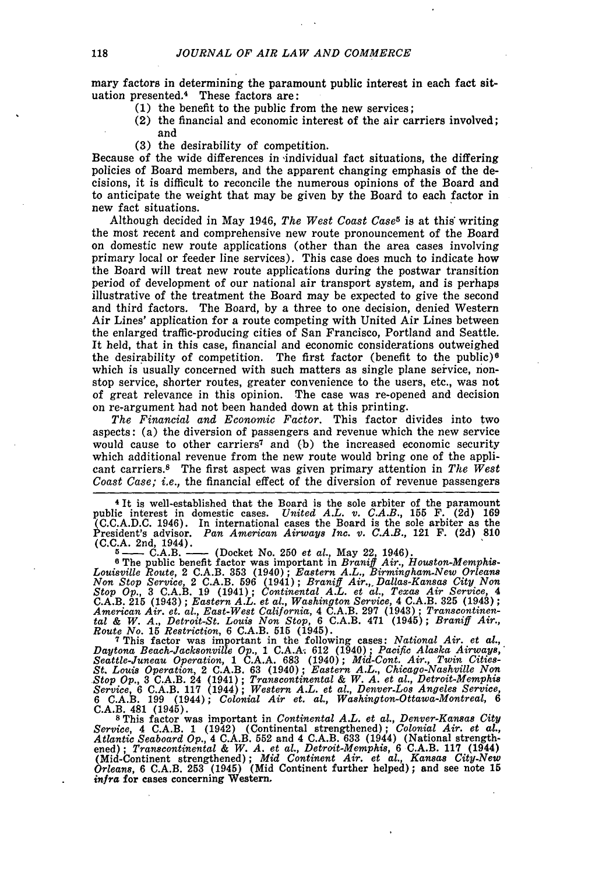mary factors in determining the paramount public interest in each fact situation presented.<sup>4</sup> These factors are:

- **(1)** the benefit to the public from the new services;
- (2) the financial and economic interest of the air carriers involved; and
- **(3)** the desirability of competition.

Because of the wide differences in individual fact situations, the differing policies of Board members, and the apparent changing emphasis of the decisions, it is difficult to reconcile the numerous opinions of the Board and to anticipate the weight that may be given **by** the Board to each factor in new fact situations.

Although decided in May 1946, *The West Coast Case5* is at this writing the most recent and comprehensive new route pronouncement of the Board on domestic new route applications (other than the area cases involving primary local or feeder line services). This case does much to indicate how the Board will treat new route applications during the postwar transition period of development of our national air transport system, and is perhaps illustrative of the treatment the Board may be expected to give the second and third factors. The Board, by a three to one decision, denied Western Air Lines' application for a route competing with United Air Lines between the enlarged traffic-producing cities of San Francisco, Portland and Seattle. It held, that in this case, financial and economic considerations outweighed the desirability of competition. The first factor (benefit to the public)<sup>6</sup> which is usually concerned with such matters as single plane service, nonstop service, shorter routes, greater convenience to the users, etc., was not of great relevance in this opinion. The case was re-opened and decision on re-argument had not been handed down at this printing.

*The Financial and Economic Factor.* This factor divides into two aspects: (a) the diversion of passengers and revenue which the new service would cause to other carriers7 and (b) the increased economic security which additional revenue from the new route would bring one of the applicant carriers.8 The first aspect was given primary attention in *The West Coast Case; i.e.,* the financial effect of the diversion of revenue passengers

**<sup>4</sup>**It is well-established that the Board is the sole arbiter of the paramount public interest in domestic cases. *United A.L. v. C.A.B.,* 155 F. (2d) 169 (C.C.A.D.C. 1946). In international cases the Board is the sole arbiter as the President's advisor. *Pan American Airways Inc. v. C.A.B.,* 121 F. (2d) **810** C.C.A. 2nd, 1944).<br>
<sup>5</sup> --- C.A.B. --- (Docket No. 250 *et al.*, May 22, 1946).<br>
<sup>6</sup> The public benefit factor was important in *Braniff Air., Houston-Memphis-*

*Louisville Route,* 2 C.A.B. 353 (1940); *Eastern A.L., Birmingham.New Orleans Non Stop Service,* 2 C.A.B. **596** (1941); *Braniff Air.,. Dallas-Kansas City Non Stop Op.,* 3 C.A.B. 19 (1941); *Continental A.L. et al., Texas Air Service,* 4 C.A.B. 215 (1943); *Eastern A.L. et al., Washington Service,* 4 C.A.B. **325** (1943); *American Air. et. al., East-West California,* 4 C.A.B. **297** (1943); *Transcontinental & W. A., Detroit-St. Louis Non Stop,* 6 C.A.B. 471 (1945); *Braniff Air., Route No.* 15 *Restriction, 6* C.A.B. **515** (1945). 7 This factor was important in the following cases: *National Air. et al.,*

*Daytona Beach-Jacksonville Op.,* 1 **C.A.Ai** 612 (1940); *Pacific Alaska Airways,' Seattle-Juneau Operation,* 1 C.A.A. **683** (1940); *Mid-Cont. Air., Twin Cities-St. Louis Operation,* 2 C.A.B. 63 (1940); *Eastern A.L., Chicago-Nashville Non Stop Op.,* **3** C.A.B. 24 (1941); *Transcontinental & W. A. et al., Detroit-Memphis Service,* 6 C.A.B. **117** (1944); *Western A.L. et al., Denver-Los Angeles Service,* 6 C.A.B. 199 (1944); *Colonial Air et. al., Washington-Ottawa-Montreal, 6* **C.A.B.** 481 (1945). **8** This factor was important in *Continental A.L. et al., Denver-Kansas City*

*Service,* 4 C.A.B. 1 (1942) (Continental strengthened); *Colonial Air. et al., Atlantic Seaboard Op.,* 4 C.A.B. **552** and 4 C.A.B. 633 (1944) (National strengthened); *Transcontinental & W. A. et al., Detroit-Memphis,* 6 **C.A.B. 117** (1944) (Mid-Continent strengthened); *Mid Continent Air. et al., Kansas City-New Orleans,* 6 C.A.B. **253** (1945) (Mid Continent further helped); and see note **15** *infra* for cases concerning Western,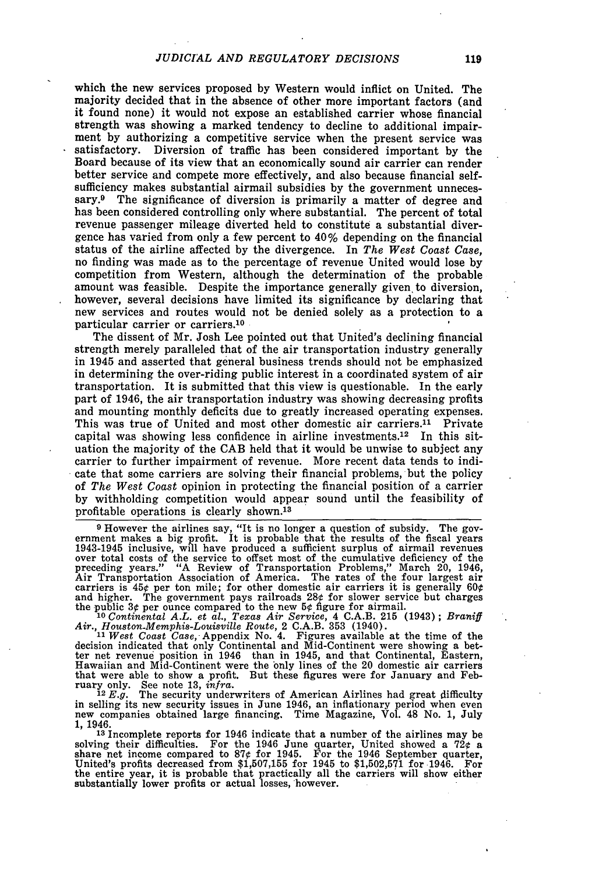which the new services proposed **by** Western would inflict on United. The majority decided that in the absence of other more important factors (and it found none) it would not expose an established carrier whose financial strength was showing a marked tendency to decline to additional impairment **by** authorizing a competitive service when the present service was satisfactory. Diversion of traffic has been considered important **by** the Board because of its view that an economically sound air carrier can render better service and compete more effectively, and also because financial selfsufficiency makes substantial airmail subsidies **by** the government unnecessary.9 The significance of diversion is primarily a matter of degree and has been considered controlling only where substantial. The percent of total revenue passenger mileage diverted held to constitute a substantial divergence has varied from only a few percent to 40% depending on the financial status of the airline affected **by** the divergence. In *The West Coast Case,* no finding was made as to the percentage of revenue United would lose **by** competition from Western, although the determination of the probable amount was feasible. Despite the importance generally given to diversion, however, several decisions have limited its significance **by** declaring that new services and routes would not be denied solely as a protection to a particular carrier or carriers.<sup>10</sup>

The dissent of Mr. Josh Lee pointed out that United's declining financial strength merely paralleled that of the air transportation industry generally in 1945 and asserted that general business trends should not be emphasized in determining the over-riding public interest in a coordinated system of air transportation. It is submitted that this view is questionable. In the early part of 1946, the air transportation industry was showing decreasing profits and mounting monthly deficits due to greatly increased operating expenses. This was true of United and most other domestic air carriers.<sup>11</sup> Private capital was showing less confidence in airline investments.12 In this situation the majority of the **CAB** held that it would be unwise to subject any carrier to further impairment of revenue. More recent data tends to indicate that some carriers are solving their financial problems, but the policy of *The West Coast* opinion in protecting the financial position of a carrier **by** withholding competition would appear sound until the feasibility of profitable operations is clearly shown.<sup>13</sup>

<sup>9</sup> However the airlines say, "It is no longer a question of subsidy. The government makes a big profit. It is probable that the results of the fiscal years 1943-1945 inclusive, will have produced a sufficient surplus of a preceding years." "A Review of Transportation Problems," March 20, 1946, Air Transportation Association of America. The rates of the four largest air carriers is  $45¢$  per ton mile; for other domestic air carriers it is generally  $60¢$ and higher. The government pays railroads 28¢ for slower service but charges the public 3¢ per ounce compared to the new  $5¢$  figure for airmail.

**<sup>10</sup>***Continental A.L. et al., Texas Air Service,* 4 **C.A.B. 215** (1943); *Braniff Air., Houston-Memphis-Louisville Route,* 2 **C.A.B. 353** (1940). *<sup>11</sup>West Coast Case,* Appendix No. 4. Figures available at the time of the

decision indicated that only Continental and Mid-Continent were showing a better net revenue position in 1946 than in 1945, and that Continental, Eastern, Hawaiian and Mid-Continent were the only lines of the 20 domestic air carriers that were able to show a profit. But these figures were for January and February only. See note **13,** *infra. 12 E.g.* The security underwriters of American Airlines had great difficulty

in selling its new security issues in June 1946, an inflationary period when even new companies obtained large financing. Time Magazine, Vol. 48 No. **1,** July 1, 1946.

**<sup>13</sup>**Incomplete reports for 1946 indicate that a number of the airlines may be solving their difficulties. For the 1946 June quarter, United showed a 72 $\epsilon$  as<br>share net income compared to 87 $\epsilon$  for 1945. For the 1946 September quarter,<br>United's profits decreased from \$1,507,155 for 1945 to \$1,502, the entire year, it is probable that practically all the carriers' will show either substantially lower profits or actual losses, however.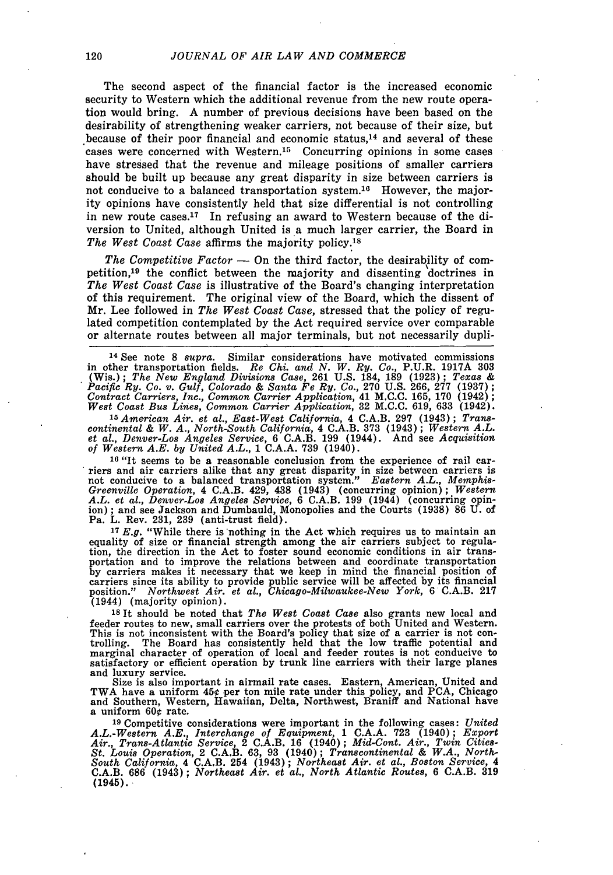The second aspect of the financial factor is the increased economic security to Western which the additional revenue from the new route operation would bring. A number of previous decisions have been based on the desirability of strengthening weaker carriers, not because of their size, but because of their poor financial and economic status, $14$  and several of these cases were concerned with Western.<sup>15</sup> Concurring opinions in some cases have stressed that the revenue and mileage positions of smaller carriers should be built up because any great disparity in size between carriers is not conducive to a balanced transportation system.<sup>16</sup> However, the majority opinions have consistently held that size differential is not controlling in new route cases.17 In refusing an award to Western because of the diversion to United, although United is a much larger carrier, the Board in The West Coast Case affirms the majority policy.<sup>18</sup>

The Competitive  $Factor -$  On the third factor, the desirability of competition, 19 the conflict between the majority and dissenting doctrines in *The West Coast Case* is illustrative of the Board's changing interpretation of this requirement. The original view of the Board, which the dissent of Mr. Lee followed in *The West Coast Case,* stressed that the policy of regulated competition contemplated by the Act required service over comparable or alternate routes between all major terminals, but not necessarily dupli-

14 See note 8 *supra.* Similar considerations have motivated commissions in other transportation fields. *Re Chi. and N. W. Ry. Co.,* P.U.R. 1917A 303 (Wis.); *The New England Divisions Case,* 261 U.S. 184, 189 (1923); *Texas & Pacific Ry. Co. v. Gulf, Colorado & Santa Fe Ry. Co.,* 270 U.S. 266, 277 (1937); *Contract Carriers, Inc., Common Carrier Application,* 41 M.C.C. 165, 170 (1942); *West Coast Bus Lines, Common Carrier Application,* 32 M.C.C. 619, 633 (1942).

<sup>15</sup> American Air. et al., East-West California, 4 C.A.B. 297 (1943); Trans-<br>continental & W. A., North-South California, 4 C.A.B. 373 (1943); Western A.L.<br>et al., Denver-Los Angeles Service, 6 C.A.B. 199 (1944). And see A *of Western A.E. by United A.L.,* 1 C.A.A. 739 (1940).

**16** "It seems to be a reasonable conclusion from the experience of rail carriers and air carriers alike that any great disparity in size between carriers is not conducive to a balanced transportation system." *Eastern A.L., Memphis-Greenville Operation,* 4 C.A.B. 429, 438 (1943) (concurring opinion); *Western A.L. et al., Denver-Los Angeles Service,* 6 C.A.B. 199 (1944) (concurring opinion) ; and see Jackson and Dumbauld, Monopolies and the Courts (1938) 86 U. of Pa. L. Rev. 231, 239 (anti-trust field).

<sup>17</sup>  $E.g.$  "While there is nothing in the Act which requires us to maintain an equality of size or financial strength among the air carriers subject to regulation, the direction in the Act to foster sound economic conditi portation and to improve the relations between and coordinate transportation by carriers makes it necessary that we keep in mind the financial position of carriers since its ability to provide public service will be affected by its financial position." Northwest Air. et al., Chicago-Milwaukee-New Y (1944) (majority opinion).

**<sup>18</sup>**It should be noted that *The West Coast Case* also grants new local and feeder routes to new, small carriers over the protests of both United and Western.<br>This is not inconsistent with the Board's policy that size of a carrier is not controlling. The Board has consistently held that the low traffic potential and marginal character of operation of local and feeder routes is not conducive to satisfactory or efficient operation by trunk line carriers with their large planes and luxury service.

and luxury service.<br>Size is also important in airmail rate cases. Eastern, American, United and TWA have a uniform  $45¢$  per ton mile rate under this policy, and PCA, Chicago and Southern, Western, Hawaiian, Delta, Northwest, Braniff and National have a uniform  $60\phi$  rate.

**<sup>19</sup>**Competitive considerations were important in the following cases: *United A.L.-Western A.E., Interchange of Equipment,* 1 C.A.A. 723 (1940); *Export Air., Trans-Atlantic Service,* 2 C.A.B. 16 (1940); *Mid-Cont. Air., Twin Cities-St. Louis Operation,* 2 C.A.B. 63, 93 (1940); *Transcontinental & W.A., North-South California,* 4 C.A.B. 254 (1943); *Northeast Air. et al., Boston Service, 4* C.A.B. 686 (1943); *Northeast Air. et al., North Atlantic Routes,* 6 C.A.B. **319**  $(1945)$ .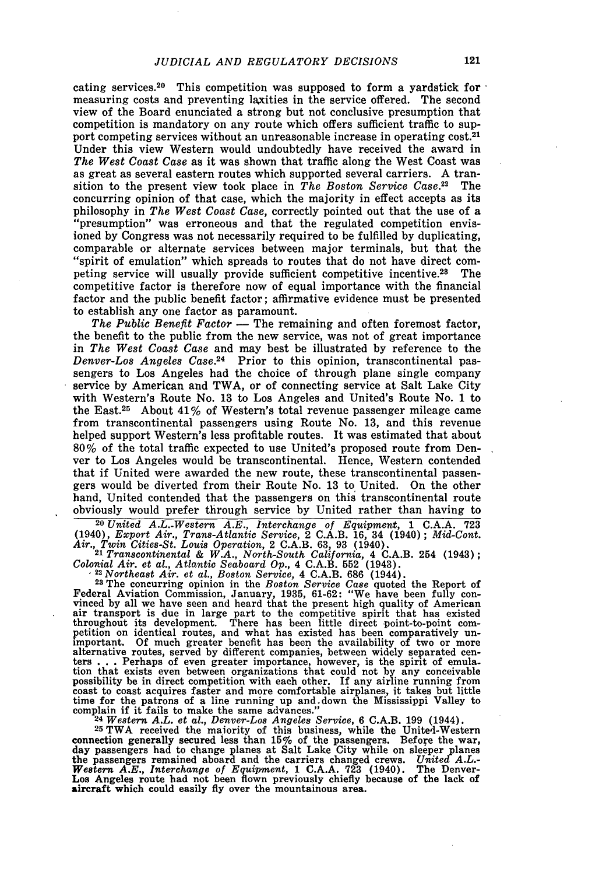cating services.<sup>20</sup> This competition was supposed to form a yardstick for measuring costs and preventing laxities in the service offered. The second view of the Board enunciated a strong but not conclusive presumption that competition is mandatory on any route which offers sufficient traffic to support competing services without an unreasonable increase in operating cost.21 Under this view Western would undoubtedly have received the award in *The West Coast Case* as it was shown that traffic along the West Coast was as great as several eastern routes which supported several carriers. A transition to the present view took place in *The Boston Service Case.22* The concurring opinion of that case, which the majority in effect accepts as its philosophy in *The West Coast Case,* correctly pointed out that the use of a "presumption" was erroneous and that the regulated competition envisioned by Congress was not necessarily required to be fulfilled by duplicating, comparable or alternate services between major terminals, but that the "spirit of emulation" which spreads to routes that do not have direct competing service will usually provide sufficient competitive incentive.<sup>23</sup> The competitive factor is therefore now of equal importance with the financial factor and the public benefit factor; affirmative evidence must be presented to establish any one factor as paramount.

*The Public Benefit Factor* **-** The remaining and often foremost factor, the benefit to the public from the new service, was not of great importance in *The West Coast Case* and may best be illustrated by reference to the *Denver-Los Angeles Case.24* Prior to this opinion, transcontinental passengers to Los Angeles had the choice of through plane single company service by American and TWA, or of connecting service at Salt Lake City with Western's Route No. 13 to Los Angeles and United's Route No. 1 to the East.<sup>25</sup> About  $41\%$  of Western's total revenue passenger mileage came from transcontinental passengers using Route No. 13, and this revenue helped support Western's less profitable routes. It was estimated that about **80%** of the total traffic expected to use United's proposed route from Denver to Los Angeles would be transcontinental. Hence, Western contended that if United were awarded the new route, these transcontinental passengers would be diverted from their Route No. 13 to United. On the other hand, United contended that the passengers on this transcontinental route obviously would prefer through service by United rather than having to

**<sup>20</sup>***United A.L.-Western A.E., Interchange of Equipment,* 1 C.A.A. 723 (1940), *Export Air., Trans-Atlantic Service,* 2 C.A.B. 16, 34 (1940); *Mid-Cont. Air., Twin Cities-St. Louis Operation,* 2 C.A.B. 63, 93 (1940). <sup>21</sup>*Transcontinental & W.A., North-South California,* 4 C.A.B. 254 (1943);

*Colonial Air. et al., Atlantic Seaboard Op.,* 4 C.A.B. **552** (1943). **<sup>22</sup>***Northeast Air. et al., Boston Service,* 4 C.A.B. **686** (1944).

**<sup>23</sup>**The concurring opinion in the *Boston Service Case* quoted the Report of Federal Aviation Commission, January, 1935, 61-62: "We have been fully con- vinced by all we have seen and heard that the present high quality of American air transport is due in large part to the competitive spirit that has existed throughout its development. There has been little direct point-to-point competition on identical routes, and what has existed has been comparatively unimportant. Of much greater benefit has been the availability of two or more alternative routes, served by different companies, between widely sepa tion that exists even between organizations that could not by any conceivable possibility be in direct competition with each other. If any airline running from coast to coast acquires faster and more comfortable airplanes, it takes but little time for the patrons of a line running up and down the Mississippi Valley to complain if it fails to make the same advances." complain if it fails to make the same advances." **<sup>24</sup>***Western A.L. et al., Denver-Los Angeles Service,* 6 C.A.B. 199 (1944).

**<sup>25</sup>**TWA received the majority of this business, while the United-Western connection generally secured less than 15% of the passengers. Before the war,<br>day passengers had to change planes at Salt Lake City while on sleeper planes<br>the passengers remained aboard and the carriers changed crews. Uni *Western A.E., Interchange of Equipment,* 1 C.A.A. **723** (1940). The Denver-Los Angeles route had not been flown previously chiefly because of the lack of aircraft which could easily fly over the mountainous area.